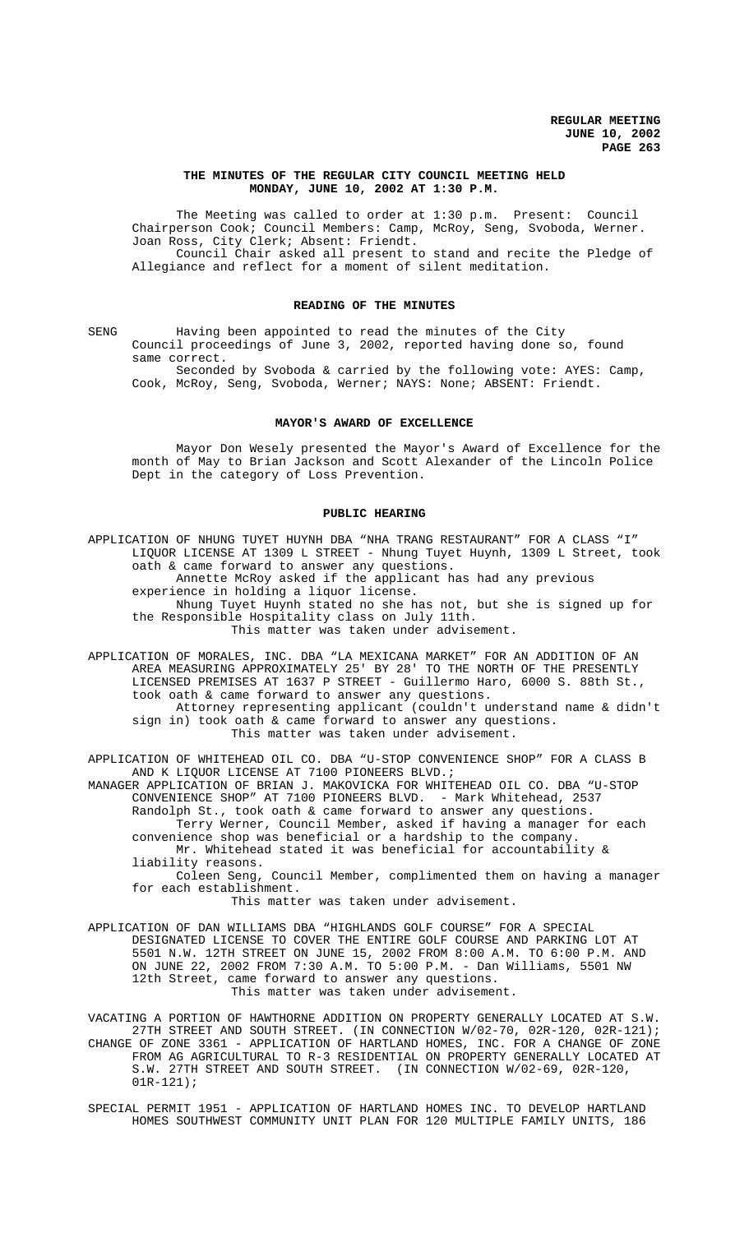### **THE MINUTES OF THE REGULAR CITY COUNCIL MEETING HELD MONDAY, JUNE 10, 2002 AT 1:30 P.M.**

The Meeting was called to order at 1:30 p.m. Present: Council Chairperson Cook; Council Members: Camp, McRoy, Seng, Svoboda, Werner. Joan Ross, City Clerk; Absent: Friendt. Council Chair asked all present to stand and recite the Pledge of Allegiance and reflect for a moment of silent meditation.

#### **READING OF THE MINUTES**

SENG Having been appointed to read the minutes of the City Council proceedings of June 3, 2002, reported having done so, found same correct.

Seconded by Svoboda & carried by the following vote: AYES: Camp, Cook, McRoy, Seng, Svoboda, Werner; NAYS: None; ABSENT: Friendt.

## **MAYOR'S AWARD OF EXCELLENCE**

Mayor Don Wesely presented the Mayor's Award of Excellence for the month of May to Brian Jackson and Scott Alexander of the Lincoln Police Dept in the category of Loss Prevention.

#### **PUBLIC HEARING**

APPLICATION OF NHUNG TUYET HUYNH DBA "NHA TRANG RESTAURANT" FOR A CLASS "I" LIQUOR LICENSE AT 1309 L STREET - Nhung Tuyet Huynh, 1309 L Street, took oath & came forward to answer any questions. Annette McRoy asked if the applicant has had any previous experience in holding a liquor license. Nhung Tuyet Huynh stated no she has not, but she is signed up for the Responsible Hospitality class on July 11th. This matter was taken under advisement.

APPLICATION OF MORALES, INC. DBA "LA MEXICANA MARKET" FOR AN ADDITION OF AN AREA MEASURING APPROXIMATELY 25' BY 28' TO THE NORTH OF THE PRESENTLY LICENSED PREMISES AT 1637 P STREET - Guillermo Haro, 6000 S. 88th St., took oath & came forward to answer any questions. Attorney representing applicant (couldn't understand name & didn't sign in) took oath & came forward to answer any questions.

This matter was taken under advisement.

APPLICATION OF WHITEHEAD OIL CO. DBA "U-STOP CONVENIENCE SHOP" FOR A CLASS B AND K LIQUOR LICENSE AT 7100 PIONEERS BLVD.;

MANAGER APPLICATION OF BRIAN J. MAKOVICKA FOR WHITEHEAD OIL CO. DBA "U-STOP CONVENIENCE SHOP" AT 7100 PIONEERS BLVD. - Mark Whitehead, 2537 Randolph St., took oath & came forward to answer any questions. Terry Werner, Council Member, asked if having a manager for each convenience shop was beneficial or a hardship to the company. Mr. Whitehead stated it was beneficial for accountability & liability reasons.

Coleen Seng, Council Member, complimented them on having a manager for each establishment.

This matter was taken under advisement.

APPLICATION OF DAN WILLIAMS DBA "HIGHLANDS GOLF COURSE" FOR A SPECIAL DESIGNATED LICENSE TO COVER THE ENTIRE GOLF COURSE AND PARKING LOT AT 5501 N.W. 12TH STREET ON JUNE 15, 2002 FROM 8:00 A.M. TO 6:00 P.M. AND ON JUNE 22, 2002 FROM 7:30 A.M. TO 5:00 P.M. - Dan Williams, 5501 NW 12th Street, came forward to answer any questions. This matter was taken under advisement.

VACATING A PORTION OF HAWTHORNE ADDITION ON PROPERTY GENERALLY LOCATED AT S.W. 27TH STREET AND SOUTH STREET. (IN CONNECTION W/02-70, 02R-120, 02R-121); CHANGE OF ZONE 3361 - APPLICATION OF HARTLAND HOMES, INC. FOR A CHANGE OF ZONE FROM AG AGRICULTURAL TO R-3 RESIDENTIAL ON PROPERTY GENERALLY LOCATED AT S.W. 27TH STREET AND SOUTH STREET. (IN CONNECTION W/02-69, 02R-120,  $01R - 121$ ;

SPECIAL PERMIT 1951 - APPLICATION OF HARTLAND HOMES INC. TO DEVELOP HARTLAND HOMES SOUTHWEST COMMUNITY UNIT PLAN FOR 120 MULTIPLE FAMILY UNITS, 186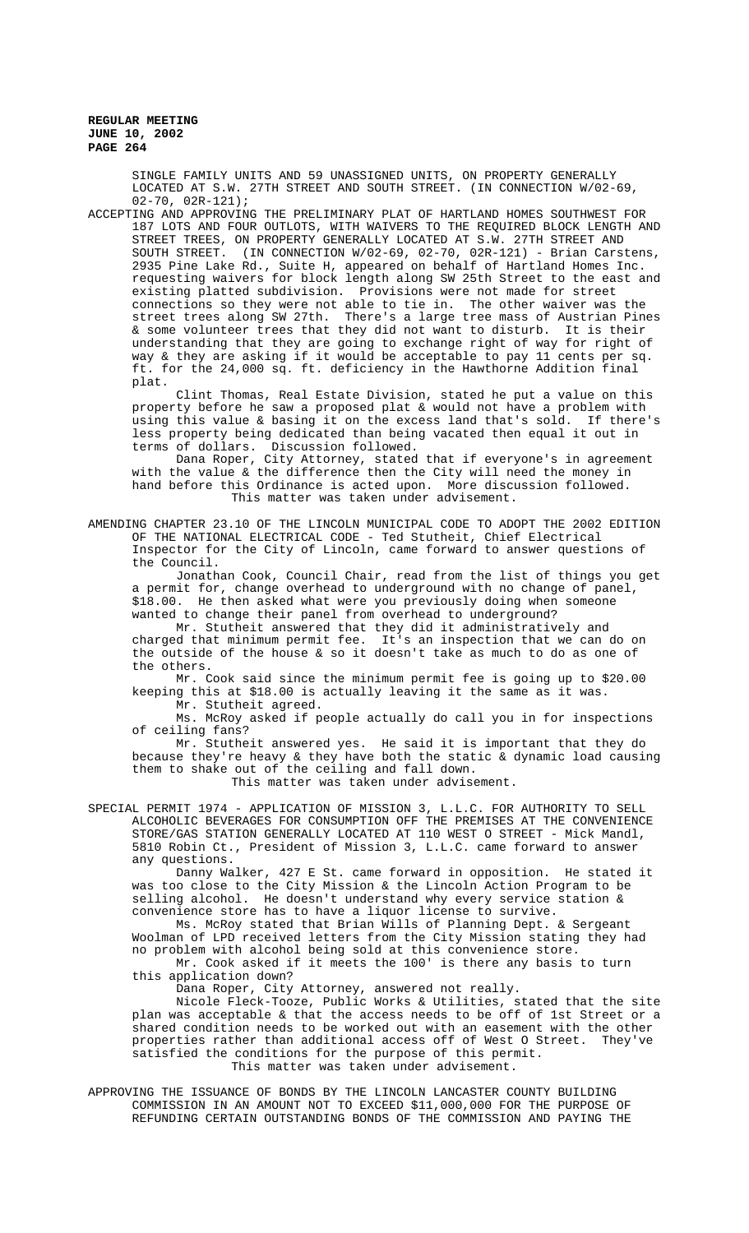SINGLE FAMILY UNITS AND 59 UNASSIGNED UNITS, ON PROPERTY GENERALLY LOCATED AT S.W. 27TH STREET AND SOUTH STREET. (IN CONNECTION W/02-69, 02-70, 02R-121);

ACCEPTING AND APPROVING THE PRELIMINARY PLAT OF HARTLAND HOMES SOUTHWEST FOR 187 LOTS AND FOUR OUTLOTS, WITH WAIVERS TO THE REQUIRED BLOCK LENGTH AND STREET TREES, ON PROPERTY GENERALLY LOCATED AT S.W. 27TH STREET AND SOUTH STREET. (IN CONNECTION W/02-69, 02-70, 02R-121) - Brian Carstens, 2935 Pine Lake Rd., Suite H, appeared on behalf of Hartland Homes Inc. requesting waivers for block length along SW 25th Street to the east and existing platted subdivision. Provisions were not made for street connections so they were not able to tie in. The other waiver was the street trees along SW 27th. There's a large tree mass of Austrian Pines & some volunteer trees that they did not want to disturb. It is their understanding that they are going to exchange right of way for right of way & they are asking if it would be acceptable to pay 11 cents per sq. ft. for the 24,000 sq. ft. deficiency in the Hawthorne Addition final plat.

Clint Thomas, Real Estate Division, stated he put a value on this property before he saw a proposed plat & would not have a problem with using this value & basing it on the excess land that's sold. If there's less property being dedicated than being vacated then equal it out in terms of dollars. Discussion followed.

Dana Roper, City Attorney, stated that if everyone's in agreement with the value & the difference then the City will need the money in hand before this Ordinance is acted upon. More discussion followed. This matter was taken under advisement.

AMENDING CHAPTER 23.10 OF THE LINCOLN MUNICIPAL CODE TO ADOPT THE 2002 EDITION OF THE NATIONAL ELECTRICAL CODE - Ted Stutheit, Chief Electrical Inspector for the City of Lincoln, came forward to answer questions of the Council.

Jonathan Cook, Council Chair, read from the list of things you get a permit for, change overhead to underground with no change of panel, \$18.00. He then asked what were you previously doing when someone wanted to change their panel from overhead to underground?

Mr. Stutheit answered that they did it administratively and charged that minimum permit fee. It's an inspection that we can do on the outside of the house & so it doesn't take as much to do as one of the others.

Mr. Cook said since the minimum permit fee is going up to \$20.00 keeping this at \$18.00 is actually leaving it the same as it was.

Mr. Stutheit agreed.

Ms. McRoy asked if people actually do call you in for inspections of ceiling fans?

Mr. Stutheit answered yes. He said it is important that they do because they're heavy & they have both the static & dynamic load causing them to shake out of the ceiling and fall down. This matter was taken under advisement.

SPECIAL PERMIT 1974 - APPLICATION OF MISSION 3, L.L.C. FOR AUTHORITY TO SELL ALCOHOLIC BEVERAGES FOR CONSUMPTION OFF THE PREMISES AT THE CONVENIENCE STORE/GAS STATION GENERALLY LOCATED AT 110 WEST O STREET - Mick Mandl, 5810 Robin Ct., President of Mission 3, L.L.C. came forward to answer any questions.

Danny Walker, 427 E St. came forward in opposition. He stated it was too close to the City Mission & the Lincoln Action Program to be selling alcohol. He doesn't understand why every service station & convenience store has to have a liquor license to survive.

Ms. McRoy stated that Brian Wills of Planning Dept. & Sergeant Woolman of LPD received letters from the City Mission stating they had no problem with alcohol being sold at this convenience store. Mr. Cook asked if it meets the 100' is there any basis to turn

this application down?

Dana Roper, City Attorney, answered not really.

Nicole Fleck-Tooze, Public Works & Utilities, stated that the site plan was acceptable & that the access needs to be off of 1st Street or a shared condition needs to be worked out with an easement with the other properties rather than additional access off of West O Street. They've satisfied the conditions for the purpose of this permit. This matter was taken under advisement.

APPROVING THE ISSUANCE OF BONDS BY THE LINCOLN LANCASTER COUNTY BUILDING COMMISSION IN AN AMOUNT NOT TO EXCEED \$11,000,000 FOR THE PURPOSE OF REFUNDING CERTAIN OUTSTANDING BONDS OF THE COMMISSION AND PAYING THE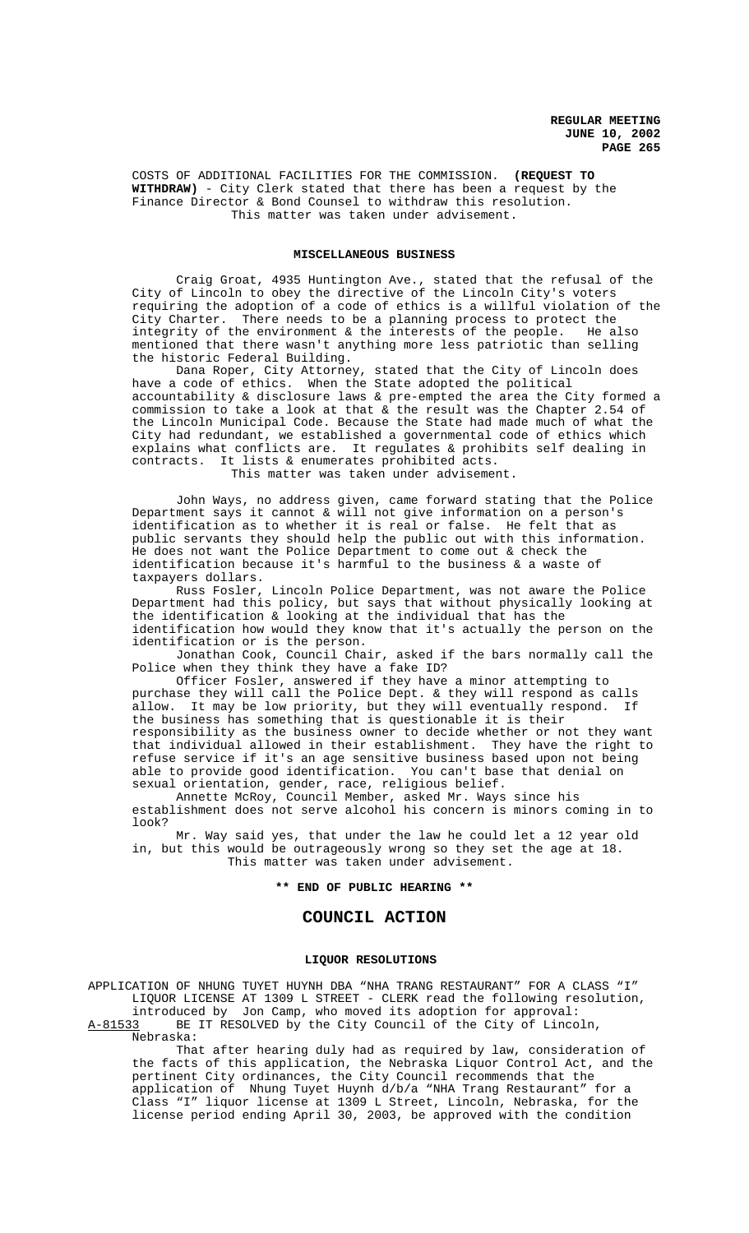COSTS OF ADDITIONAL FACILITIES FOR THE COMMISSION. **(REQUEST TO WITHDRAW)** - City Clerk stated that there has been a request by the Finance Director & Bond Counsel to withdraw this resolution. This matter was taken under advisement.

#### **MISCELLANEOUS BUSINESS**

Craig Groat, 4935 Huntington Ave., stated that the refusal of the City of Lincoln to obey the directive of the Lincoln City's voters requiring the adoption of a code of ethics is a willful violation of the<br>City Charter. There needs to be a planning process to protect the There needs to be a planning process to protect the integrity of the environment & the interests of the people. He also mentioned that there wasn't anything more less patriotic than selling the historic Federal Building.

Dana Roper, City Attorney, stated that the City of Lincoln does have a code of ethics. When the State adopted the political accountability & disclosure laws & pre-empted the area the City formed a commission to take a look at that & the result was the Chapter 2.54 of the Lincoln Municipal Code. Because the State had made much of what the City had redundant, we established a governmental code of ethics which explains what conflicts are. It regulates & prohibits self dealing in contracts. It lists & enumerates prohibited acts. This matter was taken under advisement.

John Ways, no address given, came forward stating that the Police Department says it cannot & will not give information on a person's identification as to whether it is real or false. He felt that as public servants they should help the public out with this information. He does not want the Police Department to come out & check the identification because it's harmful to the business & a waste of taxpayers dollars.

Russ Fosler, Lincoln Police Department, was not aware the Police Department had this policy, but says that without physically looking at the identification & looking at the individual that has the identification how would they know that it's actually the person on the identification or is the person.

Jonathan Cook, Council Chair, asked if the bars normally call the Police when they think they have a fake ID?

Officer Fosler, answered if they have a minor attempting to purchase they will call the Police Dept. & they will respond as calls allow. It may be low priority, but they will eventually respond. If the business has something that is questionable it is their responsibility as the business owner to decide whether or not they want that individual allowed in their establishment. They have the right to refuse service if it's an age sensitive business based upon not being able to provide good identification. You can't base that denial on sexual orientation, gender, race, religious belief.

Annette McRoy, Council Member, asked Mr. Ways since his establishment does not serve alcohol his concern is minors coming in to look?

Mr. Way said yes, that under the law he could let a 12 year old in, but this would be outrageously wrong so they set the age at 18. This matter was taken under advisement.

**\*\* END OF PUBLIC HEARING \*\***

# **COUNCIL ACTION**

#### **LIQUOR RESOLUTIONS**

APPLICATION OF NHUNG TUYET HUYNH DBA "NHA TRANG RESTAURANT" FOR A CLASS "I" LIQUOR LICENSE AT 1309 L STREET - CLERK read the following resolution, introduced by Jon Camp, who moved its adoption for approval: A-81533 BE IT RESOLVED by the City Council of the City of Lincoln,

Nebraska:

That after hearing duly had as required by law, consideration of the facts of this application, the Nebraska Liquor Control Act, and the pertinent City ordinances, the City Council recommends that the application of Nhung Tuyet Huynh d/b/a "NHA Trang Restaurant" for a Class "I" liquor license at 1309 L Street, Lincoln, Nebraska, for the license period ending April 30, 2003, be approved with the condition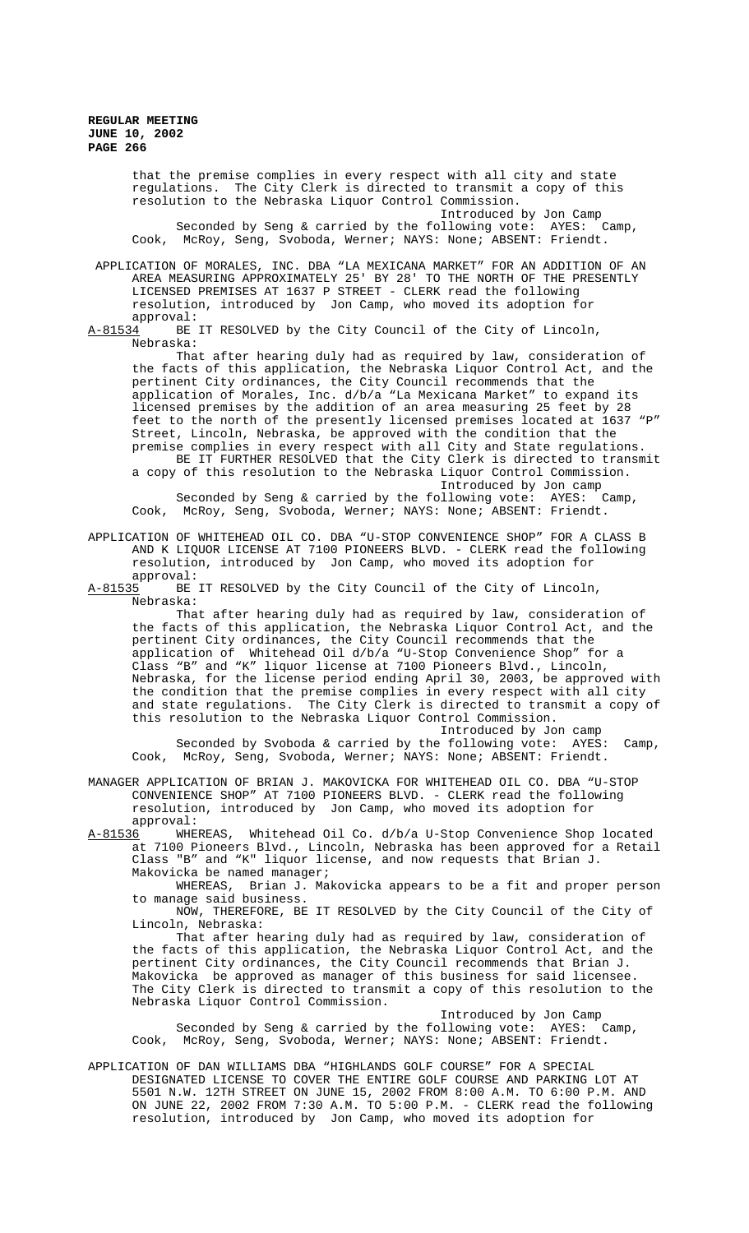> that the premise complies in every respect with all city and state regulations. The City Clerk is directed to transmit a copy of this resolution to the Nebraska Liquor Control Commission. Introduced by Jon Camp<br>Illowing vote: AYES: Camp, Seconded by Seng & carried by the following vote: AYES: Cook, McRoy, Seng, Svoboda, Werner; NAYS: None; ABSENT: Friendt.

 APPLICATION OF MORALES, INC. DBA "LA MEXICANA MARKET" FOR AN ADDITION OF AN AREA MEASURING APPROXIMATELY 25' BY 28' TO THE NORTH OF THE PRESENTLY LICENSED PREMISES AT 1637 P STREET - CLERK read the following resolution, introduced by Jon Camp, who moved its adoption for

approval:<br>A-81534 BE BE IT RESOLVED by the City Council of the City of Lincoln, Nebraska:

That after hearing duly had as required by law, consideration of the facts of this application, the Nebraska Liquor Control Act, and the pertinent City ordinances, the City Council recommends that the application of Morales, Inc. d/b/a "La Mexicana Market" to expand its licensed premises by the addition of an area measuring 25 feet by 28 feet to the north of the presently licensed premises located at 1637 "P" Street, Lincoln, Nebraska, be approved with the condition that the premise complies in every respect with all City and State regulations. BE IT FURTHER RESOLVED that the City Clerk is directed to transmit a copy of this resolution to the Nebraska Liquor Control Commission. Introduced by Jon camp

Seconded by Seng & carried by the following vote: AYES: Camp, Cook, McRoy, Seng, Svoboda, Werner; NAYS: None; ABSENT: Friendt.

APPLICATION OF WHITEHEAD OIL CO. DBA "U-STOP CONVENIENCE SHOP" FOR A CLASS B AND K LIQUOR LICENSE AT 7100 PIONEERS BLVD. - CLERK read the following resolution, introduced by Jon Camp, who moved its adoption for

approval:<br>A-81535 BE BE IT RESOLVED by the City Council of the City of Lincoln, Nebraska:

That after hearing duly had as required by law, consideration of the facts of this application, the Nebraska Liquor Control Act, and the pertinent City ordinances, the City Council recommends that the application of Whitehead Oil d/b/a "U-Stop Convenience Shop" for a Class "B" and "K" liquor license at 7100 Pioneers Blvd., Lincoln, Nebraska, for the license period ending April 30, 2003, be approved with the condition that the premise complies in every respect with all city and state regulations. The City Clerk is directed to transmit a copy of this resolution to the Nebraska Liquor Control Commission.

Introduced by Jon camp Seconded by Svoboda & carried by the following vote: AYES: Camp, Cook, McRoy, Seng, Svoboda, Werner; NAYS: None; ABSENT: Friendt.

MANAGER APPLICATION OF BRIAN J. MAKOVICKA FOR WHITEHEAD OIL CO. DBA "U-STOP CONVENIENCE SHOP" AT 7100 PIONEERS BLVD. - CLERK read the following resolution, introduced by Jon Camp, who moved its adoption for

approval:<br>A-81536 WHE WHEREAS, Whitehead Oil Co. d/b/a U-Stop Convenience Shop located at 7100 Pioneers Blvd., Lincoln, Nebraska has been approved for a Retail Class "B" and "K" liquor license, and now requests that Brian J. Makovicka be named manager;

WHEREAS, Brian J. Makovicka appears to be a fit and proper person to manage said business.

NOW, THEREFORE, BE IT RESOLVED by the City Council of the City of Lincoln, Nebraska:

That after hearing duly had as required by law, consideration of the facts of this application, the Nebraska Liquor Control Act, and the pertinent City ordinances, the City Council recommends that Brian J. Makovicka be approved as manager of this business for said licensee. The City Clerk is directed to transmit a copy of this resolution to the Nebraska Liquor Control Commission.

Introduced by Jon Camp

Seconded by Seng & carried by the following vote: AYES: Camp, Cook, McRoy, Seng, Svoboda, Werner; NAYS: None; ABSENT: Friendt.

APPLICATION OF DAN WILLIAMS DBA "HIGHLANDS GOLF COURSE" FOR A SPECIAL DESIGNATED LICENSE TO COVER THE ENTIRE GOLF COURSE AND PARKING LOT AT 5501 N.W. 12TH STREET ON JUNE 15, 2002 FROM 8:00 A.M. TO 6:00 P.M. AND ON JUNE 22, 2002 FROM 7:30 A.M. TO 5:00 P.M. - CLERK read the following resolution, introduced by Jon Camp, who moved its adoption for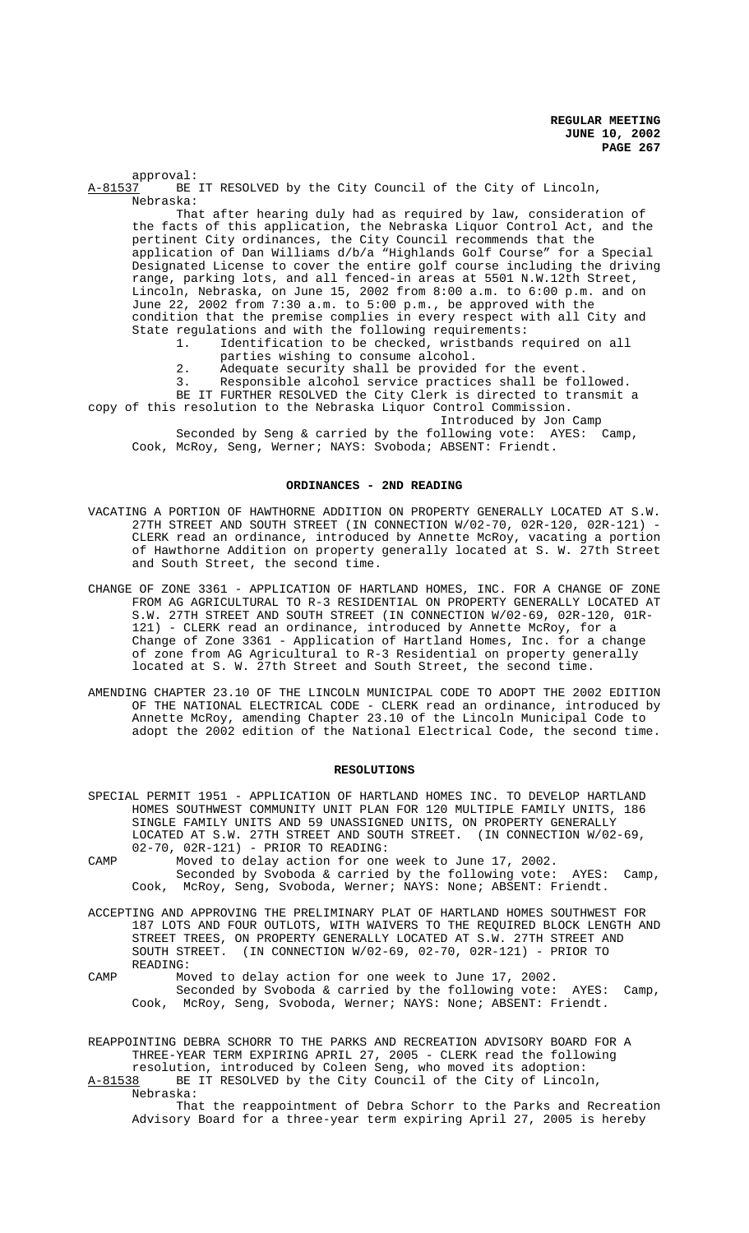approval:<br>A-81537 BE BE IT RESOLVED by the City Council of the City of Lincoln, Nebraska: That after hearing duly had as required by law, consideration of the facts of this application, the Nebraska Liquor Control Act, and the pertinent City ordinances, the City Council recommends that the application of Dan Williams d/b/a "Highlands Golf Course" for a Special Designated License to cover the entire golf course including the driving range, parking lots, and all fenced-in areas at 5501 N.W.12th Street, Lincoln, Nebraska, on June 15, 2002 from 8:00 a.m. to 6:00 p.m. and on June 22, 2002 from 7:30 a.m. to 5:00 p.m., be approved with the condition that the premise complies in every respect with all City and State regulations and with the following requirements: 1. Identification to be checked, wristbands required on all parties wishing to consume alcohol. 2. Adequate security shall be provided for the event. 3. Responsible alcohol service practices shall be followed. BE IT FURTHER RESOLVED the City Clerk is directed to transmit a copy of this resolution to the Nebraska Liquor Control Commission. Introduced by Jon Camp Seconded by Seng & carried by the following vote: AYES: Camp, Cook, McRoy, Seng, Werner; NAYS: Svoboda; ABSENT: Friendt.

## **ORDINANCES - 2ND READING**

- VACATING A PORTION OF HAWTHORNE ADDITION ON PROPERTY GENERALLY LOCATED AT S.W. 27TH STREET AND SOUTH STREET (IN CONNECTION W/02-70, 02R-120, 02R-121) - CLERK read an ordinance, introduced by Annette McRoy, vacating a portion of Hawthorne Addition on property generally located at S. W. 27th Street and South Street, the second time.
- CHANGE OF ZONE 3361 APPLICATION OF HARTLAND HOMES, INC. FOR A CHANGE OF ZONE FROM AG AGRICULTURAL TO R-3 RESIDENTIAL ON PROPERTY GENERALLY LOCATED AT S.W. 27TH STREET AND SOUTH STREET (IN CONNECTION W/02-69, 02R-120, 01R-121) - CLERK read an ordinance, introduced by Annette McRoy, for a Change of Zone 3361 - Application of Hartland Homes, Inc. for a change of zone from AG Agricultural to R-3 Residential on property generally located at S. W. 27th Street and South Street, the second time.
- AMENDING CHAPTER 23.10 OF THE LINCOLN MUNICIPAL CODE TO ADOPT THE 2002 EDITION OF THE NATIONAL ELECTRICAL CODE - CLERK read an ordinance, introduced by Annette McRoy, amending Chapter 23.10 of the Lincoln Municipal Code to adopt the 2002 edition of the National Electrical Code, the second time.

## **RESOLUTIONS**

- SPECIAL PERMIT 1951 APPLICATION OF HARTLAND HOMES INC. TO DEVELOP HARTLAND HOMES SOUTHWEST COMMUNITY UNIT PLAN FOR 120 MULTIPLE FAMILY UNITS, 186 SINGLE FAMILY UNITS AND 59 UNASSIGNED UNITS, ON PROPERTY GENERALLY LOCATED AT S.W. 27TH STREET AND SOUTH STREET. (IN CONNECTION W/02-69, 02-70, 02R-121) - PRIOR TO READING:
- CAMP Moved to delay action for one week to June 17, 2002. Seconded by Svoboda & carried by the following vote: AYES: Camp, Cook, McRoy, Seng, Svoboda, Werner; NAYS: None; ABSENT: Friendt.
- ACCEPTING AND APPROVING THE PRELIMINARY PLAT OF HARTLAND HOMES SOUTHWEST FOR 187 LOTS AND FOUR OUTLOTS, WITH WAIVERS TO THE REQUIRED BLOCK LENGTH AND STREET TREES, ON PROPERTY GENERALLY LOCATED AT S.W. 27TH STREET AND SOUTH STREET. (IN CONNECTION W/02-69, 02-70, 02R-121) - PRIOR TO READING:
- CAMP Moved to delay action for one week to June 17, 2002. Seconded by Svoboda & carried by the following vote: AYES: Camp, Cook, McRoy, Seng, Svoboda, Werner; NAYS: None; ABSENT: Friendt.

REAPPOINTING DEBRA SCHORR TO THE PARKS AND RECREATION ADVISORY BOARD FOR A THREE-YEAR TERM EXPIRING APRIL 27, 2005 - CLERK read the following resolution, introduced by Coleen Seng, who moved its adoption:<br>A-81538 BE IT RESOLVED by the City Council of the City of Lincol:

BE IT RESOLVED by the City Council of the City of Lincoln, Nebraska:

That the reappointment of Debra Schorr to the Parks and Recreation Advisory Board for a three-year term expiring April 27, 2005 is hereby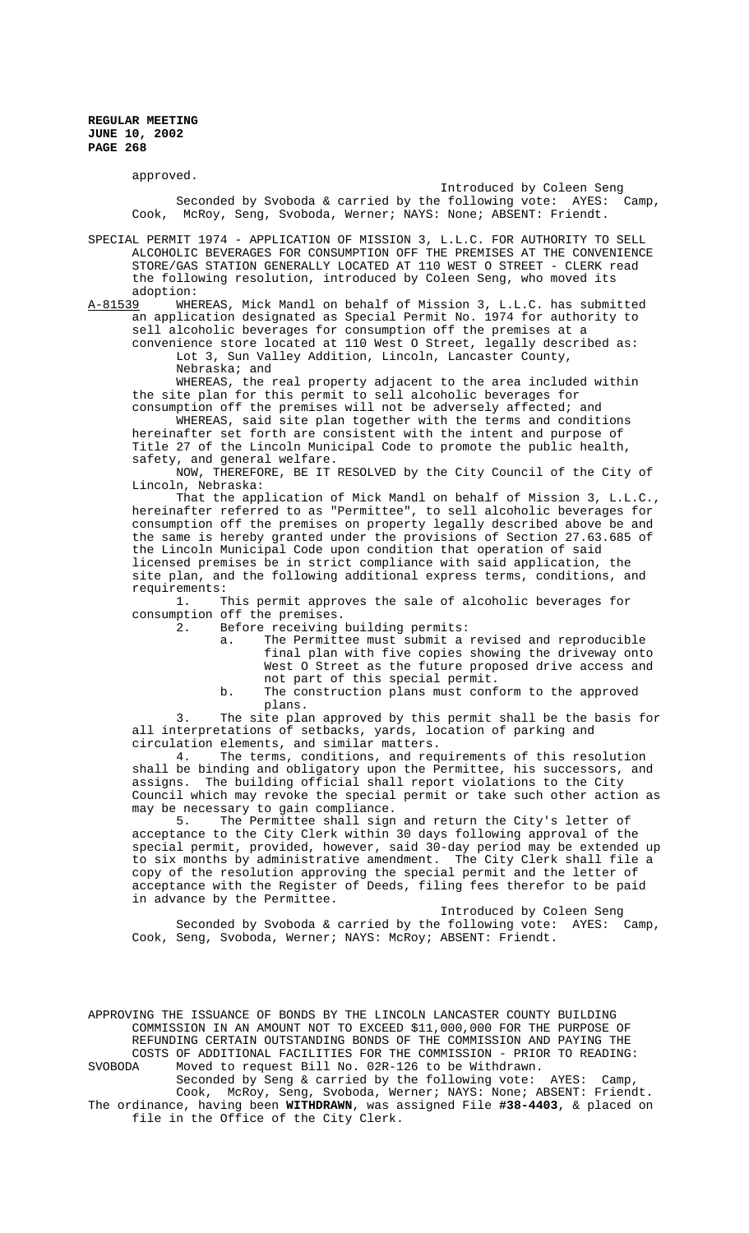approved.

Introduced by Coleen Seng Seconded by Svoboda & carried by the following vote: AYES: Camp, Cook, McRoy, Seng, Svoboda, Werner; NAYS: None; ABSENT: Friendt.

SPECIAL PERMIT 1974 - APPLICATION OF MISSION 3, L.L.C. FOR AUTHORITY TO SELL ALCOHOLIC BEVERAGES FOR CONSUMPTION OFF THE PREMISES AT THE CONVENIENCE STORE/GAS STATION GENERALLY LOCATED AT 110 WEST O STREET - CLERK read the following resolution, introduced by Coleen Seng, who moved its

adoption:<br>A-81539 WHE WHEREAS, Mick Mandl on behalf of Mission 3, L.L.C. has submitted an application designated as Special Permit No. 1974 for authority to sell alcoholic beverages for consumption off the premises at a

convenience store located at 110 West O Street, legally described as: Lot 3, Sun Valley Addition, Lincoln, Lancaster County, Nebraska; and

WHEREAS, the real property adjacent to the area included within the site plan for this permit to sell alcoholic beverages for consumption off the premises will not be adversely affected; and

WHEREAS, said site plan together with the terms and conditions hereinafter set forth are consistent with the intent and purpose of Title 27 of the Lincoln Municipal Code to promote the public health, safety, and general welfare.

NOW, THEREFORE, BE IT RESOLVED by the City Council of the City of Lincoln, Nebraska:

That the application of Mick Mandl on behalf of Mission 3, L.L.C., hereinafter referred to as "Permittee", to sell alcoholic beverages for consumption off the premises on property legally described above be and the same is hereby granted under the provisions of Section 27.63.685 of the Lincoln Municipal Code upon condition that operation of said licensed premises be in strict compliance with said application, the site plan, and the following additional express terms, conditions, and requirements:

1. This permit approves the sale of alcoholic beverages for consumption off the premises.

2. Before receiving building permits:

a. The Permittee must submit a revised and reproducible final plan with five copies showing the driveway onto West O Street as the future proposed drive access and not part of this special permit.

b. The construction plans must conform to the approved plans.

3. The site plan approved by this permit shall be the basis for all interpretations of setbacks, yards, location of parking and

circulation elements, and similar matters. The terms, conditions, and requirements of this resolution shall be binding and obligatory upon the Permittee, his successors, and assigns. The building official shall report violations to the City Council which may revoke the special permit or take such other action as may be necessary to gain compliance.<br>5. The Permittee shall sign

The Permittee shall sign and return the City's letter of acceptance to the City Clerk within 30 days following approval of the special permit, provided, however, said 30-day period may be extended up to six months by administrative amendment. The City Clerk shall file a copy of the resolution approving the special permit and the letter of acceptance with the Register of Deeds, filing fees therefor to be paid in advance by the Permittee.

Introduced by Coleen Seng

Seconded by Svoboda & carried by the following vote: AYES: Camp, Cook, Seng, Svoboda, Werner; NAYS: McRoy; ABSENT: Friendt.

APPROVING THE ISSUANCE OF BONDS BY THE LINCOLN LANCASTER COUNTY BUILDING COMMISSION IN AN AMOUNT NOT TO EXCEED \$11,000,000 FOR THE PURPOSE OF REFUNDING CERTAIN OUTSTANDING BONDS OF THE COMMISSION AND PAYING THE COSTS OF ADDITIONAL FACILITIES FOR THE COMMISSION - PRIOR TO READING: SVOBODA Moved to request Bill No. 02R-126 to be Withdrawn.

Seconded by Seng & carried by the following vote: AYES: Camp Cook, McRoy, Seng, Svoboda, Werner; NAYS: None; ABSENT: Friendt. The ordinance, having been **WITHDRAWN**, was assigned File **#38-4403**, & placed on file in the Office of the City Clerk.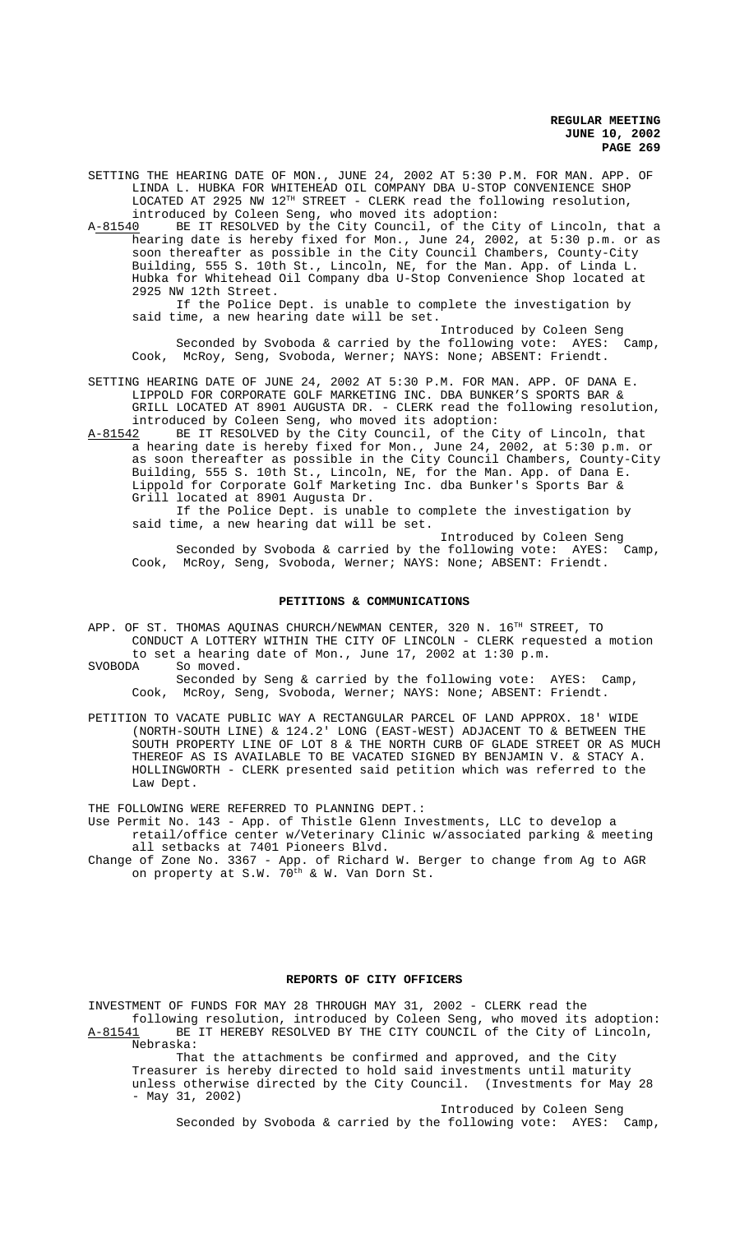SETTING THE HEARING DATE OF MON., JUNE 24, 2002 AT 5:30 P.M. FOR MAN. APP. OF LINDA L. HUBKA FOR WHITEHEAD OIL COMPANY DBA U-STOP CONVENIENCE SHOP LOCATED AT 2925 NW 12TH STREET - CLERK read the following resolution, introduced by Coleen Seng, who moved its adoption:<br>A-81540 BE IT RESOLVED by the City Council, of the C

A<u>-81540</u> BE IT RESOLVED by the City Council, of the City of Lincoln, that a hearing date is hereby fixed for Mon., June 24, 2002, at 5:30 p.m. or as soon thereafter as possible in the City Council Chambers, County-City Building, 555 S. 10th St., Lincoln, NE, for the Man. App. of Linda L. Hubka for Whitehead Oil Company dba U-Stop Convenience Shop located at 2925 NW 12th Street.

If the Police Dept. is unable to complete the investigation by said time, a new hearing date will be set.

Introduced by Coleen Seng Seconded by Svoboda & carried by the following vote: AYES: Camp, Cook, McRoy, Seng, Svoboda, Werner; NAYS: None; ABSENT: Friendt.

SETTING HEARING DATE OF JUNE 24, 2002 AT 5:30 P.M. FOR MAN. APP. OF DANA E. LIPPOLD FOR CORPORATE GOLF MARKETING INC. DBA BUNKER'S SPORTS BAR & GRILL LOCATED AT 8901 AUGUSTA DR. - CLERK read the following resolution, introduced by Coleen Seng, who moved its adoption:

A-81542 BE IT RESOLVED by the City Council, of the City of Lincoln, that a hearing date is hereby fixed for Mon., June 24, 2002, at 5:30 p.m. or as soon thereafter as possible in the City Council Chambers, County-City Building, 555 S. 10th St., Lincoln, NE, for the Man. App. of Dana E. Lippold for Corporate Golf Marketing Inc. dba Bunker's Sports Bar & Grill located at 8901 Augusta Dr.

If the Police Dept. is unable to complete the investigation by said time, a new hearing dat will be set.

Introduced by Coleen Seng Seconded by Svoboda & carried by the following vote: AYES: Camp, Cook, McRoy, Seng, Svoboda, Werner; NAYS: None; ABSENT: Friendt.

#### **PETITIONS & COMMUNICATIONS**

APP. OF ST. THOMAS AQUINAS CHURCH/NEWMAN CENTER, 320 N. 16<sup>TH</sup> STREET, TO CONDUCT A LOTTERY WITHIN THE CITY OF LINCOLN - CLERK requested a motion to set a hearing date of Mon., June 17, 2002 at 1:30 p.m.<br>SVOBODA So moved.

So moved.

Seconded by Seng & carried by the following vote: AYES: Camp, Cook, McRoy, Seng, Svoboda, Werner; NAYS: None; ABSENT: Friendt.

PETITION TO VACATE PUBLIC WAY A RECTANGULAR PARCEL OF LAND APPROX. 18' WIDE (NORTH-SOUTH LINE) & 124.2' LONG (EAST-WEST) ADJACENT TO & BETWEEN THE SOUTH PROPERTY LINE OF LOT 8 & THE NORTH CURB OF GLADE STREET OR AS MUCH THEREOF AS IS AVAILABLE TO BE VACATED SIGNED BY BENJAMIN V. & STACY A. HOLLINGWORTH - CLERK presented said petition which was referred to the Law Dept.

THE FOLLOWING WERE REFERRED TO PLANNING DEPT.:

Use Permit No. 143 - App. of Thistle Glenn Investments, LLC to develop a retail/office center w/Veterinary Clinic w/associated parking & meeting all setbacks at 7401 Pioneers Blvd.

Change of Zone No. 3367 - App. of Richard W. Berger to change from Ag to AGR on property at S.W. 70<sup>th</sup> & W. Van Dorn St.

## **REPORTS OF CITY OFFICERS**

INVESTMENT OF FUNDS FOR MAY 28 THROUGH MAY 31, 2002 - CLERK read the following resolution, introduced by Coleen Seng, who moved its adoption: A-81541 BE IT HEREBY RESOLVED BY THE CITY COUNCIL of the City of Lincoln, Nebraska:

That the attachments be confirmed and approved, and the City Treasurer is hereby directed to hold said investments until maturity unless otherwise directed by the City Council. (Investments for May 28 - May 31, 2002)

Introduced by Coleen Seng Seconded by Svoboda & carried by the following vote: AYES: Camp,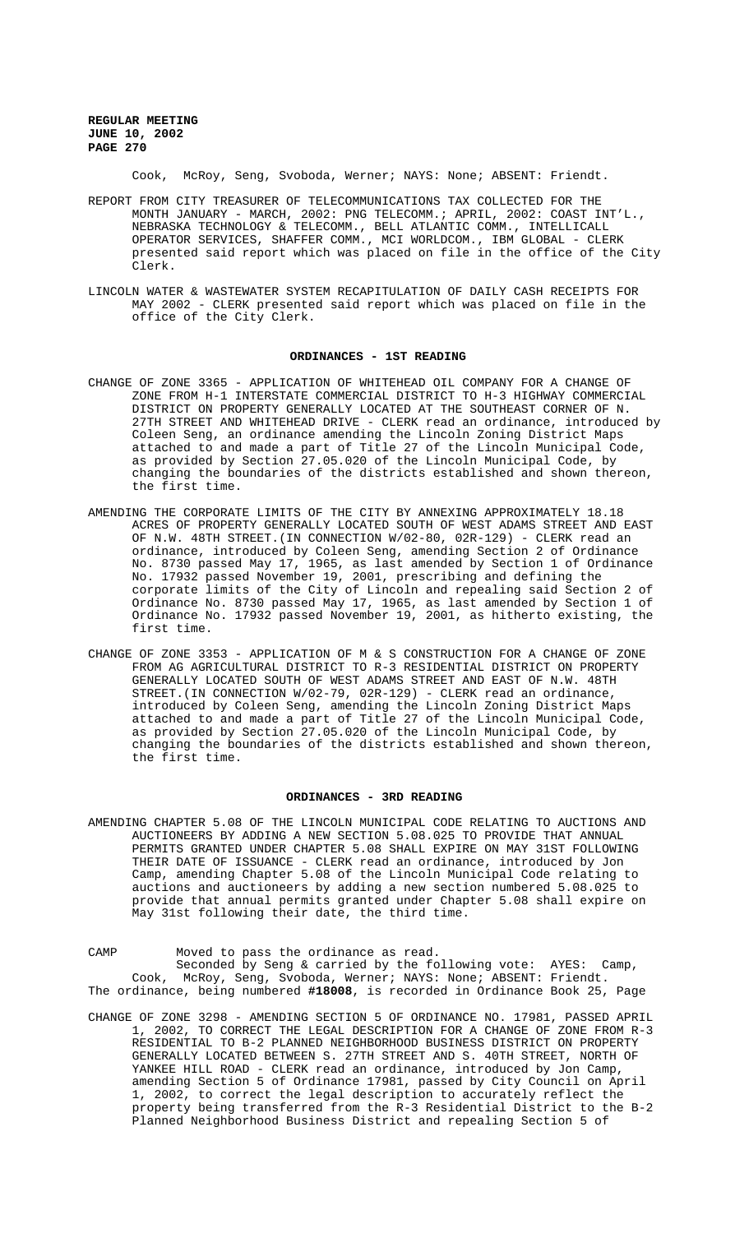Cook, McRoy, Seng, Svoboda, Werner; NAYS: None; ABSENT: Friendt.

- REPORT FROM CITY TREASURER OF TELECOMMUNICATIONS TAX COLLECTED FOR THE MONTH JANUARY - MARCH, 2002: PNG TELECOMM.; APRIL, 2002: COAST INT'L., NEBRASKA TECHNOLOGY & TELECOMM., BELL ATLANTIC COMM., INTELLICALL OPERATOR SERVICES, SHAFFER COMM., MCI WORLDCOM., IBM GLOBAL - CLERK presented said report which was placed on file in the office of the City Clerk.
- LINCOLN WATER & WASTEWATER SYSTEM RECAPITULATION OF DAILY CASH RECEIPTS FOR MAY 2002 - CLERK presented said report which was placed on file in the office of the City Clerk.

#### **ORDINANCES - 1ST READING**

- CHANGE OF ZONE 3365 APPLICATION OF WHITEHEAD OIL COMPANY FOR A CHANGE OF ZONE FROM H-1 INTERSTATE COMMERCIAL DISTRICT TO H-3 HIGHWAY COMMERCIAL DISTRICT ON PROPERTY GENERALLY LOCATED AT THE SOUTHEAST CORNER OF N. 27TH STREET AND WHITEHEAD DRIVE - CLERK read an ordinance, introduced by Coleen Seng, an ordinance amending the Lincoln Zoning District Maps attached to and made a part of Title 27 of the Lincoln Municipal Code, as provided by Section 27.05.020 of the Lincoln Municipal Code, by changing the boundaries of the districts established and shown thereon, the first time.
- AMENDING THE CORPORATE LIMITS OF THE CITY BY ANNEXING APPROXIMATELY 18.18 ACRES OF PROPERTY GENERALLY LOCATED SOUTH OF WEST ADAMS STREET AND EAST OF N.W. 48TH STREET.(IN CONNECTION W/02-80, 02R-129) - CLERK read an ordinance, introduced by Coleen Seng, amending Section 2 of Ordinance No. 8730 passed May 17, 1965, as last amended by Section 1 of Ordinance No. 17932 passed November 19, 2001, prescribing and defining the corporate limits of the City of Lincoln and repealing said Section 2 of Ordinance No. 8730 passed May 17, 1965, as last amended by Section 1 of Ordinance No. 17932 passed November 19, 2001, as hitherto existing, the first time.
- CHANGE OF ZONE 3353 APPLICATION OF M & S CONSTRUCTION FOR A CHANGE OF ZONE FROM AG AGRICULTURAL DISTRICT TO R-3 RESIDENTIAL DISTRICT ON PROPERTY GENERALLY LOCATED SOUTH OF WEST ADAMS STREET AND EAST OF N.W. 48TH STREET.(IN CONNECTION W/02-79, 02R-129) - CLERK read an ordinance, introduced by Coleen Seng, amending the Lincoln Zoning District Maps attached to and made a part of Title 27 of the Lincoln Municipal Code, as provided by Section 27.05.020 of the Lincoln Municipal Code, by changing the boundaries of the districts established and shown thereon, the first time.

#### **ORDINANCES - 3RD READING**

AMENDING CHAPTER 5.08 OF THE LINCOLN MUNICIPAL CODE RELATING TO AUCTIONS AND AUCTIONEERS BY ADDING A NEW SECTION 5.08.025 TO PROVIDE THAT ANNUAL PERMITS GRANTED UNDER CHAPTER 5.08 SHALL EXPIRE ON MAY 31ST FOLLOWING THEIR DATE OF ISSUANCE - CLERK read an ordinance, introduced by Jon Camp, amending Chapter 5.08 of the Lincoln Municipal Code relating to auctions and auctioneers by adding a new section numbered 5.08.025 to provide that annual permits granted under Chapter 5.08 shall expire on May 31st following their date, the third time.

CAMP Moved to pass the ordinance as read. Seconded by Seng & carried by the following vote: AYES: Camp, Cook, McRoy, Seng, Svoboda, Werner; NAYS: None; ABSENT: Friendt. The ordinance, being numbered **#18008**, is recorded in Ordinance Book 25, Page

CHANGE OF ZONE 3298 - AMENDING SECTION 5 OF ORDINANCE NO. 17981, PASSED APRIL 1, 2002, TO CORRECT THE LEGAL DESCRIPTION FOR A CHANGE OF ZONE FROM R-3 RESIDENTIAL TO B-2 PLANNED NEIGHBORHOOD BUSINESS DISTRICT ON PROPERTY GENERALLY LOCATED BETWEEN S. 27TH STREET AND S. 40TH STREET, NORTH OF YANKEE HILL ROAD - CLERK read an ordinance, introduced by Jon Camp, amending Section 5 of Ordinance 17981, passed by City Council on April 1, 2002, to correct the legal description to accurately reflect the property being transferred from the R-3 Residential District to the B-2 Planned Neighborhood Business District and repealing Section 5 of